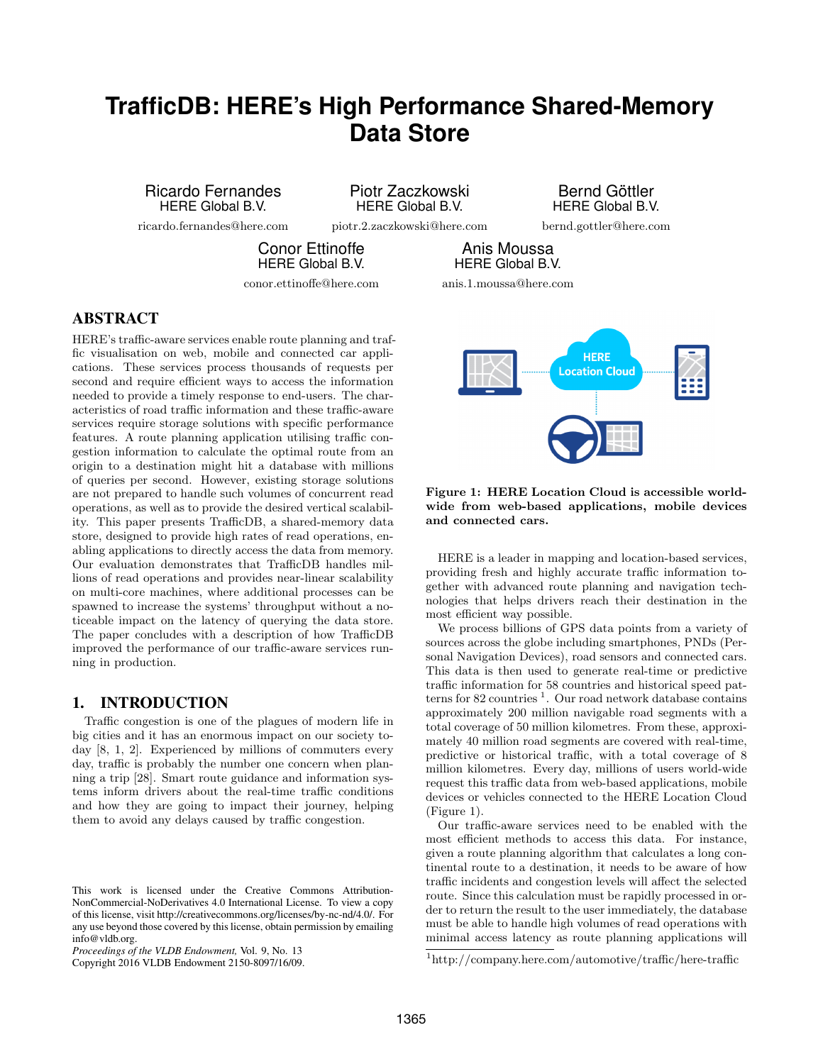# **TrafficDB: HERE's High Performance Shared-Memory Data Store**

Ricardo Fernandes HERE Global B.V.

ricardo.fernandes@here.com

Piotr Zaczkowski HERE Global B.V.

piotr.2.zaczkowski@here.com

Bernd Göttler HERE Global B.V.

bernd.gottler@here.com

**HERE Location Cloud** 

Conor Ettinoffe HERE Global B.V.

conor.ettinoffe@here.com

HERE Global B.V. anis.1.moussa@here.com

Anis Moussa

# ABSTRACT

HERE's traffic-aware services enable route planning and traffic visualisation on web, mobile and connected car applications. These services process thousands of requests per second and require efficient ways to access the information needed to provide a timely response to end-users. The characteristics of road traffic information and these traffic-aware services require storage solutions with specific performance features. A route planning application utilising traffic congestion information to calculate the optimal route from an origin to a destination might hit a database with millions of queries per second. However, existing storage solutions are not prepared to handle such volumes of concurrent read operations, as well as to provide the desired vertical scalability. This paper presents TrafficDB, a shared-memory data store, designed to provide high rates of read operations, enabling applications to directly access the data from memory. Our evaluation demonstrates that TrafficDB handles millions of read operations and provides near-linear scalability on multi-core machines, where additional processes can be spawned to increase the systems' throughput without a noticeable impact on the latency of querying the data store. The paper concludes with a description of how TrafficDB improved the performance of our traffic-aware services running in production.

# 1. INTRODUCTION

Traffic congestion is one of the plagues of modern life in big cities and it has an enormous impact on our society today [8, 1, 2]. Experienced by millions of commuters every day, traffic is probably the number one concern when planning a trip [28]. Smart route guidance and information systems inform drivers about the real-time traffic conditions and how they are going to impact their journey, helping them to avoid any delays caused by traffic congestion.

Copyright 2016 VLDB Endowment 2150-8097/16/09.



HERE is a leader in mapping and location-based services, providing fresh and highly accurate traffic information together with advanced route planning and navigation technologies that helps drivers reach their destination in the most efficient way possible.

We process billions of GPS data points from a variety of sources across the globe including smartphones, PNDs (Personal Navigation Devices), road sensors and connected cars. This data is then used to generate real-time or predictive traffic information for 58 countries and historical speed patterns for 82 countries<sup>1</sup>. Our road network database contains approximately 200 million navigable road segments with a total coverage of 50 million kilometres. From these, approximately 40 million road segments are covered with real-time, predictive or historical traffic, with a total coverage of 8 million kilometres. Every day, millions of users world-wide request this traffic data from web-based applications, mobile devices or vehicles connected to the HERE Location Cloud (Figure 1).

Our traffic-aware services need to be enabled with the most efficient methods to access this data. For instance, given a route planning algorithm that calculates a long continental route to a destination, it needs to be aware of how traffic incidents and congestion levels will affect the selected route. Since this calculation must be rapidly processed in order to return the result to the user immediately, the database must be able to handle high volumes of read operations with minimal access latency as route planning applications will

This work is licensed under the Creative Commons Attribution-NonCommercial-NoDerivatives 4.0 International License. To view a copy of this license, visit http://creativecommons.org/licenses/by-nc-nd/4.0/. For any use beyond those covered by this license, obtain permission by emailing info@vldb.org.

*Proceedings of the VLDB Endowment,* Vol. 9, No. 13

<sup>1</sup>http://company.here.com/automotive/traffic/here-traffic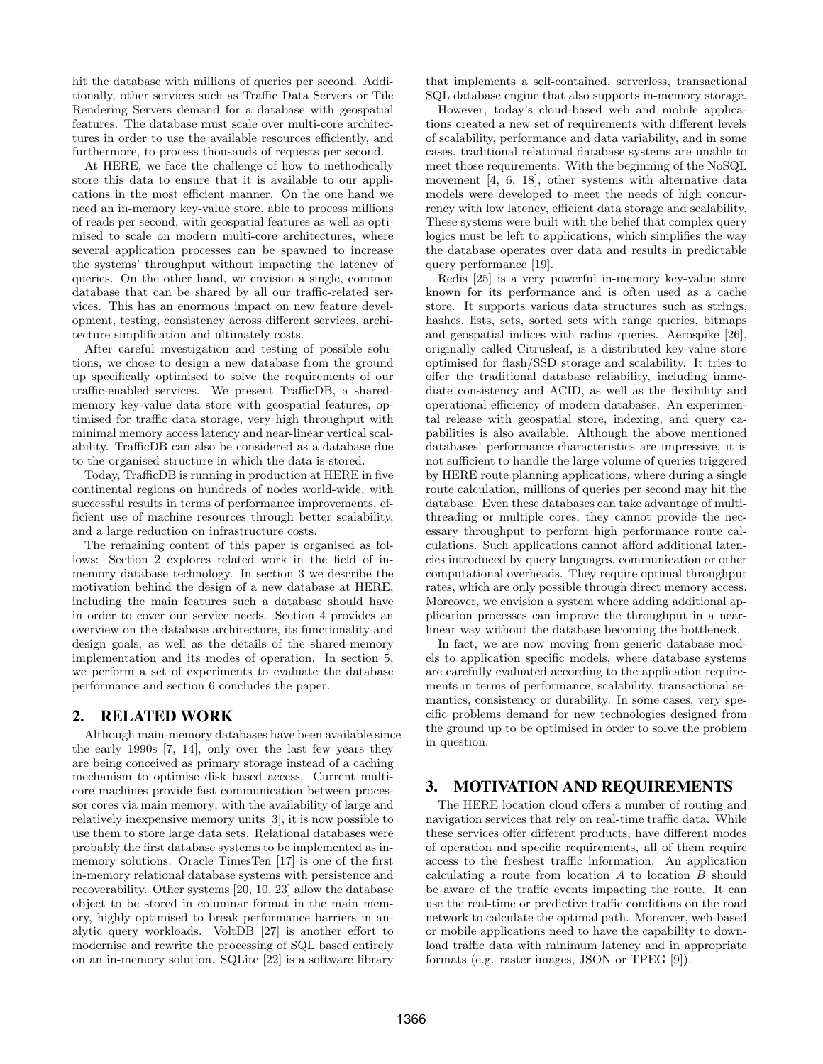hit the database with millions of queries per second. Additionally, other services such as Traffic Data Servers or Tile Rendering Servers demand for a database with geospatial features. The database must scale over multi-core architectures in order to use the available resources efficiently, and furthermore, to process thousands of requests per second.

At HERE, we face the challenge of how to methodically store this data to ensure that it is available to our applications in the most efficient manner. On the one hand we need an in-memory key-value store, able to process millions of reads per second, with geospatial features as well as optimised to scale on modern multi-core architectures, where several application processes can be spawned to increase the systems' throughput without impacting the latency of queries. On the other hand, we envision a single, common database that can be shared by all our traffic-related services. This has an enormous impact on new feature development, testing, consistency across different services, architecture simplification and ultimately costs.

After careful investigation and testing of possible solutions, we chose to design a new database from the ground up specifically optimised to solve the requirements of our traffic-enabled services. We present TrafficDB, a sharedmemory key-value data store with geospatial features, optimised for traffic data storage, very high throughput with minimal memory access latency and near-linear vertical scalability. TrafficDB can also be considered as a database due to the organised structure in which the data is stored.

Today, TrafficDB is running in production at HERE in five continental regions on hundreds of nodes world-wide, with successful results in terms of performance improvements, efficient use of machine resources through better scalability, and a large reduction on infrastructure costs.

The remaining content of this paper is organised as follows: Section 2 explores related work in the field of inmemory database technology. In section 3 we describe the motivation behind the design of a new database at HERE, including the main features such a database should have in order to cover our service needs. Section 4 provides an overview on the database architecture, its functionality and design goals, as well as the details of the shared-memory implementation and its modes of operation. In section 5, we perform a set of experiments to evaluate the database performance and section 6 concludes the paper.

### 2. RELATED WORK

Although main-memory databases have been available since the early 1990s [7, 14], only over the last few years they are being conceived as primary storage instead of a caching mechanism to optimise disk based access. Current multicore machines provide fast communication between processor cores via main memory; with the availability of large and relatively inexpensive memory units [3], it is now possible to use them to store large data sets. Relational databases were probably the first database systems to be implemented as inmemory solutions. Oracle TimesTen [17] is one of the first in-memory relational database systems with persistence and recoverability. Other systems [20, 10, 23] allow the database object to be stored in columnar format in the main memory, highly optimised to break performance barriers in analytic query workloads. VoltDB [27] is another effort to modernise and rewrite the processing of SQL based entirely on an in-memory solution. SQLite [22] is a software library

that implements a self-contained, serverless, transactional SQL database engine that also supports in-memory storage.

However, today's cloud-based web and mobile applications created a new set of requirements with different levels of scalability, performance and data variability, and in some cases, traditional relational database systems are unable to meet those requirements. With the beginning of the NoSQL movement [4, 6, 18], other systems with alternative data models were developed to meet the needs of high concurrency with low latency, efficient data storage and scalability. These systems were built with the belief that complex query logics must be left to applications, which simplifies the way the database operates over data and results in predictable query performance [19].

Redis [25] is a very powerful in-memory key-value store known for its performance and is often used as a cache store. It supports various data structures such as strings, hashes, lists, sets, sorted sets with range queries, bitmaps and geospatial indices with radius queries. Aerospike [26], originally called Citrusleaf, is a distributed key-value store optimised for flash/SSD storage and scalability. It tries to offer the traditional database reliability, including immediate consistency and ACID, as well as the flexibility and operational efficiency of modern databases. An experimental release with geospatial store, indexing, and query capabilities is also available. Although the above mentioned databases' performance characteristics are impressive, it is not sufficient to handle the large volume of queries triggered by HERE route planning applications, where during a single route calculation, millions of queries per second may hit the database. Even these databases can take advantage of multithreading or multiple cores, they cannot provide the necessary throughput to perform high performance route calculations. Such applications cannot afford additional latencies introduced by query languages, communication or other computational overheads. They require optimal throughput rates, which are only possible through direct memory access. Moreover, we envision a system where adding additional application processes can improve the throughput in a nearlinear way without the database becoming the bottleneck.

In fact, we are now moving from generic database models to application specific models, where database systems are carefully evaluated according to the application requirements in terms of performance, scalability, transactional semantics, consistency or durability. In some cases, very specific problems demand for new technologies designed from the ground up to be optimised in order to solve the problem in question.

# 3. MOTIVATION AND REQUIREMENTS

The HERE location cloud offers a number of routing and navigation services that rely on real-time traffic data. While these services offer different products, have different modes of operation and specific requirements, all of them require access to the freshest traffic information. An application calculating a route from location A to location B should be aware of the traffic events impacting the route. It can use the real-time or predictive traffic conditions on the road network to calculate the optimal path. Moreover, web-based or mobile applications need to have the capability to download traffic data with minimum latency and in appropriate formats (e.g. raster images, JSON or TPEG [9]).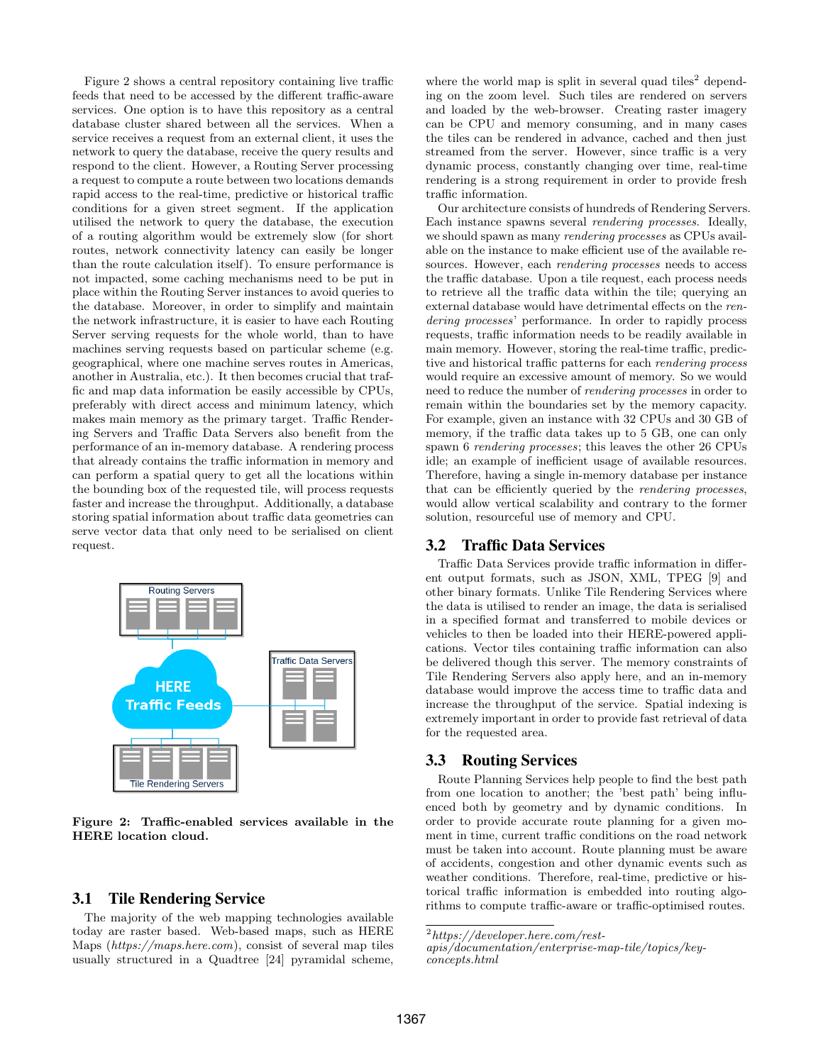Figure 2 shows a central repository containing live traffic feeds that need to be accessed by the different traffic-aware services. One option is to have this repository as a central database cluster shared between all the services. When a service receives a request from an external client, it uses the network to query the database, receive the query results and respond to the client. However, a Routing Server processing a request to compute a route between two locations demands rapid access to the real-time, predictive or historical traffic conditions for a given street segment. If the application utilised the network to query the database, the execution of a routing algorithm would be extremely slow (for short routes, network connectivity latency can easily be longer than the route calculation itself). To ensure performance is not impacted, some caching mechanisms need to be put in place within the Routing Server instances to avoid queries to the database. Moreover, in order to simplify and maintain the network infrastructure, it is easier to have each Routing Server serving requests for the whole world, than to have machines serving requests based on particular scheme (e.g. geographical, where one machine serves routes in Americas, another in Australia, etc.). It then becomes crucial that traffic and map data information be easily accessible by CPUs, preferably with direct access and minimum latency, which makes main memory as the primary target. Traffic Rendering Servers and Traffic Data Servers also benefit from the performance of an in-memory database. A rendering process that already contains the traffic information in memory and can perform a spatial query to get all the locations within the bounding box of the requested tile, will process requests faster and increase the throughput. Additionally, a database storing spatial information about traffic data geometries can serve vector data that only need to be serialised on client request.



Figure 2: Traffic-enabled services available in the HERE location cloud.

## 3.1 Tile Rendering Service

The majority of the web mapping technologies available today are raster based. Web-based maps, such as HERE Maps (https://maps.here.com), consist of several map tiles usually structured in a Quadtree [24] pyramidal scheme, where the world map is split in several quad tiles<sup>2</sup> depending on the zoom level. Such tiles are rendered on servers and loaded by the web-browser. Creating raster imagery can be CPU and memory consuming, and in many cases the tiles can be rendered in advance, cached and then just streamed from the server. However, since traffic is a very dynamic process, constantly changing over time, real-time rendering is a strong requirement in order to provide fresh traffic information.

Our architecture consists of hundreds of Rendering Servers. Each instance spawns several rendering processes. Ideally, we should spawn as many rendering processes as CPUs available on the instance to make efficient use of the available resources. However, each rendering processes needs to access the traffic database. Upon a tile request, each process needs to retrieve all the traffic data within the tile; querying an external database would have detrimental effects on the rendering processes' performance. In order to rapidly process requests, traffic information needs to be readily available in main memory. However, storing the real-time traffic, predictive and historical traffic patterns for each rendering process would require an excessive amount of memory. So we would need to reduce the number of rendering processes in order to remain within the boundaries set by the memory capacity. For example, given an instance with 32 CPUs and 30 GB of memory, if the traffic data takes up to 5 GB, one can only spawn 6 rendering processes; this leaves the other 26 CPUs idle; an example of inefficient usage of available resources. Therefore, having a single in-memory database per instance that can be efficiently queried by the rendering processes, would allow vertical scalability and contrary to the former solution, resourceful use of memory and CPU.

#### 3.2 Traffic Data Services

Traffic Data Services provide traffic information in different output formats, such as JSON, XML, TPEG [9] and other binary formats. Unlike Tile Rendering Services where the data is utilised to render an image, the data is serialised in a specified format and transferred to mobile devices or vehicles to then be loaded into their HERE-powered applications. Vector tiles containing traffic information can also be delivered though this server. The memory constraints of Tile Rendering Servers also apply here, and an in-memory database would improve the access time to traffic data and increase the throughput of the service. Spatial indexing is extremely important in order to provide fast retrieval of data for the requested area.

## 3.3 Routing Services

Route Planning Services help people to find the best path from one location to another; the 'best path' being influenced both by geometry and by dynamic conditions. In order to provide accurate route planning for a given moment in time, current traffic conditions on the road network must be taken into account. Route planning must be aware of accidents, congestion and other dynamic events such as weather conditions. Therefore, real-time, predictive or historical traffic information is embedded into routing algorithms to compute traffic-aware or traffic-optimised routes.

 $^{2}$ https://developer.here.com/rest-

apis/documentation/enterprise-map-tile/topics/keyconcepts.html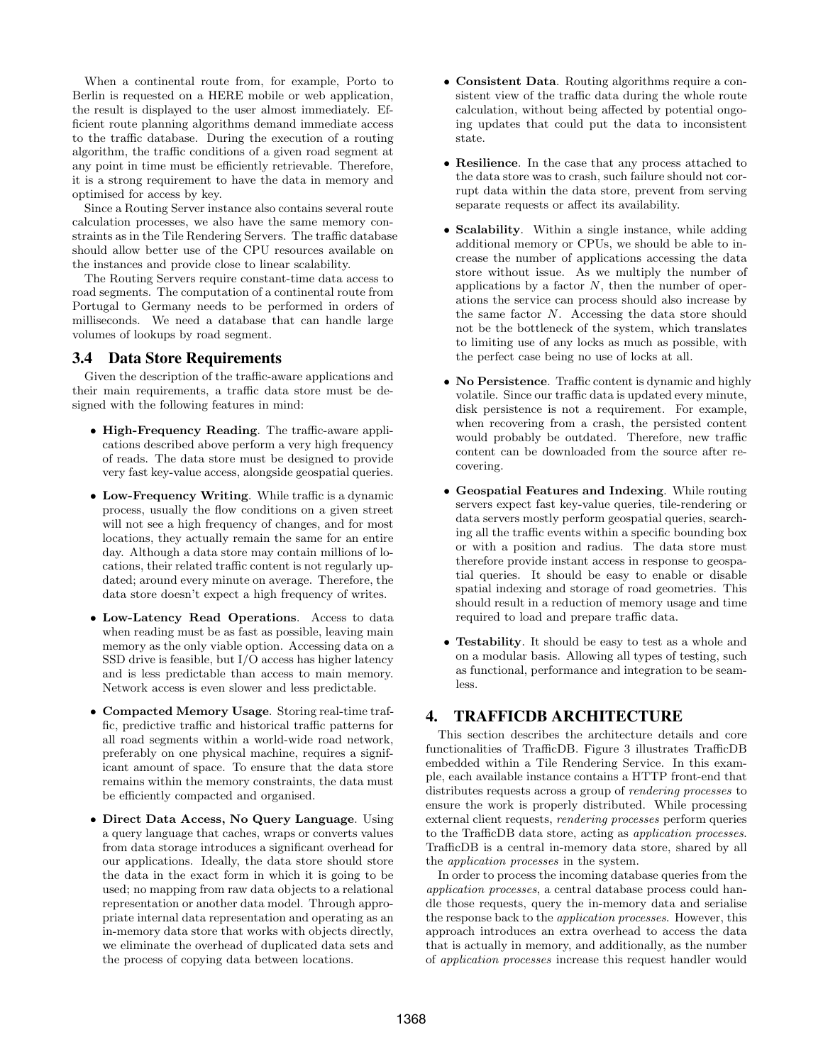When a continental route from, for example, Porto to Berlin is requested on a HERE mobile or web application, the result is displayed to the user almost immediately. Efficient route planning algorithms demand immediate access to the traffic database. During the execution of a routing algorithm, the traffic conditions of a given road segment at any point in time must be efficiently retrievable. Therefore, it is a strong requirement to have the data in memory and optimised for access by key.

Since a Routing Server instance also contains several route calculation processes, we also have the same memory constraints as in the Tile Rendering Servers. The traffic database should allow better use of the CPU resources available on the instances and provide close to linear scalability.

The Routing Servers require constant-time data access to road segments. The computation of a continental route from Portugal to Germany needs to be performed in orders of milliseconds. We need a database that can handle large volumes of lookups by road segment.

## 3.4 Data Store Requirements

Given the description of the traffic-aware applications and their main requirements, a traffic data store must be designed with the following features in mind:

- High-Frequency Reading. The traffic-aware applications described above perform a very high frequency of reads. The data store must be designed to provide very fast key-value access, alongside geospatial queries.
- Low-Frequency Writing. While traffic is a dynamic process, usually the flow conditions on a given street will not see a high frequency of changes, and for most locations, they actually remain the same for an entire day. Although a data store may contain millions of locations, their related traffic content is not regularly updated; around every minute on average. Therefore, the data store doesn't expect a high frequency of writes.
- Low-Latency Read Operations. Access to data when reading must be as fast as possible, leaving main memory as the only viable option. Accessing data on a SSD drive is feasible, but I/O access has higher latency and is less predictable than access to main memory. Network access is even slower and less predictable.
- Compacted Memory Usage. Storing real-time traffic, predictive traffic and historical traffic patterns for all road segments within a world-wide road network, preferably on one physical machine, requires a significant amount of space. To ensure that the data store remains within the memory constraints, the data must be efficiently compacted and organised.
- Direct Data Access, No Query Language. Using a query language that caches, wraps or converts values from data storage introduces a significant overhead for our applications. Ideally, the data store should store the data in the exact form in which it is going to be used; no mapping from raw data objects to a relational representation or another data model. Through appropriate internal data representation and operating as an in-memory data store that works with objects directly, we eliminate the overhead of duplicated data sets and the process of copying data between locations.
- Consistent Data. Routing algorithms require a consistent view of the traffic data during the whole route calculation, without being affected by potential ongoing updates that could put the data to inconsistent state.
- Resilience. In the case that any process attached to the data store was to crash, such failure should not corrupt data within the data store, prevent from serving separate requests or affect its availability.
- Scalability. Within a single instance, while adding additional memory or CPUs, we should be able to increase the number of applications accessing the data store without issue. As we multiply the number of applications by a factor  $N$ , then the number of operations the service can process should also increase by the same factor N. Accessing the data store should not be the bottleneck of the system, which translates to limiting use of any locks as much as possible, with the perfect case being no use of locks at all.
- No Persistence. Traffic content is dynamic and highly volatile. Since our traffic data is updated every minute, disk persistence is not a requirement. For example, when recovering from a crash, the persisted content would probably be outdated. Therefore, new traffic content can be downloaded from the source after recovering.
- Geospatial Features and Indexing. While routing servers expect fast key-value queries, tile-rendering or data servers mostly perform geospatial queries, searching all the traffic events within a specific bounding box or with a position and radius. The data store must therefore provide instant access in response to geospatial queries. It should be easy to enable or disable spatial indexing and storage of road geometries. This should result in a reduction of memory usage and time required to load and prepare traffic data.
- Testability. It should be easy to test as a whole and on a modular basis. Allowing all types of testing, such as functional, performance and integration to be seamless.

# 4. TRAFFICDB ARCHITECTURE

This section describes the architecture details and core functionalities of TrafficDB. Figure 3 illustrates TrafficDB embedded within a Tile Rendering Service. In this example, each available instance contains a HTTP front-end that distributes requests across a group of rendering processes to ensure the work is properly distributed. While processing external client requests, rendering processes perform queries to the TrafficDB data store, acting as application processes. TrafficDB is a central in-memory data store, shared by all the application processes in the system.

In order to process the incoming database queries from the application processes, a central database process could handle those requests, query the in-memory data and serialise the response back to the application processes. However, this approach introduces an extra overhead to access the data that is actually in memory, and additionally, as the number of application processes increase this request handler would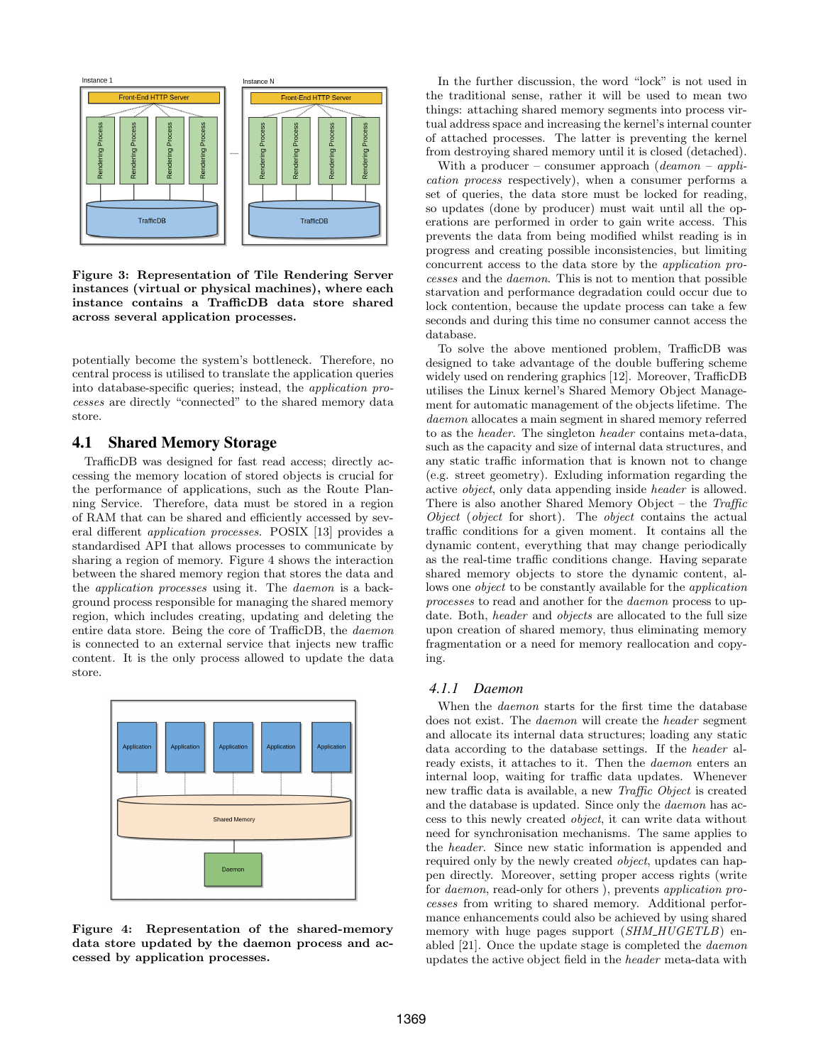

Figure 3: Representation of Tile Rendering Server instances (virtual or physical machines), where each instance contains a TrafficDB data store shared across several application processes.

potentially become the system's bottleneck. Therefore, no central process is utilised to translate the application queries into database-specific queries; instead, the application processes are directly "connected" to the shared memory data store.

# 4.1 Shared Memory Storage

TrafficDB was designed for fast read access; directly accessing the memory location of stored objects is crucial for the performance of applications, such as the Route Planning Service. Therefore, data must be stored in a region of RAM that can be shared and efficiently accessed by several different application processes. POSIX [13] provides a standardised API that allows processes to communicate by sharing a region of memory. Figure 4 shows the interaction between the shared memory region that stores the data and the application processes using it. The daemon is a background process responsible for managing the shared memory region, which includes creating, updating and deleting the entire data store. Being the core of TrafficDB, the daemon is connected to an external service that injects new traffic content. It is the only process allowed to update the data store.



Figure 4: Representation of the shared-memory data store updated by the daemon process and accessed by application processes.

In the further discussion, the word "lock" is not used in the traditional sense, rather it will be used to mean two things: attaching shared memory segments into process virtual address space and increasing the kernel's internal counter of attached processes. The latter is preventing the kernel from destroying shared memory until it is closed (detached).

With a producer – consumer approach (*deamon – appli*cation process respectively), when a consumer performs a set of queries, the data store must be locked for reading, so updates (done by producer) must wait until all the operations are performed in order to gain write access. This prevents the data from being modified whilst reading is in progress and creating possible inconsistencies, but limiting concurrent access to the data store by the application processes and the daemon. This is not to mention that possible starvation and performance degradation could occur due to lock contention, because the update process can take a few seconds and during this time no consumer cannot access the database.

To solve the above mentioned problem, TrafficDB was designed to take advantage of the double buffering scheme widely used on rendering graphics [12]. Moreover, TrafficDB utilises the Linux kernel's Shared Memory Object Management for automatic management of the objects lifetime. The daemon allocates a main segment in shared memory referred to as the header. The singleton header contains meta-data, such as the capacity and size of internal data structures, and any static traffic information that is known not to change (e.g. street geometry). Exluding information regarding the active object, only data appending inside header is allowed. There is also another Shared Memory Object – the Traffic Object (object for short). The object contains the actual traffic conditions for a given moment. It contains all the dynamic content, everything that may change periodically as the real-time traffic conditions change. Having separate shared memory objects to store the dynamic content, allows one *object* to be constantly available for the *application* processes to read and another for the daemon process to update. Both, *header* and *objects* are allocated to the full size upon creation of shared memory, thus eliminating memory fragmentation or a need for memory reallocation and copying.

## *4.1.1 Daemon*

When the *daemon* starts for the first time the database does not exist. The daemon will create the header segment and allocate its internal data structures; loading any static data according to the database settings. If the header already exists, it attaches to it. Then the daemon enters an internal loop, waiting for traffic data updates. Whenever new traffic data is available, a new Traffic Object is created and the database is updated. Since only the daemon has access to this newly created object, it can write data without need for synchronisation mechanisms. The same applies to the header. Since new static information is appended and required only by the newly created *object*, updates can happen directly. Moreover, setting proper access rights (write for daemon, read-only for others ), prevents application processes from writing to shared memory. Additional performance enhancements could also be achieved by using shared memory with huge pages support (SHM\_HUGETLB) enabled [21]. Once the update stage is completed the daemon updates the active object field in the header meta-data with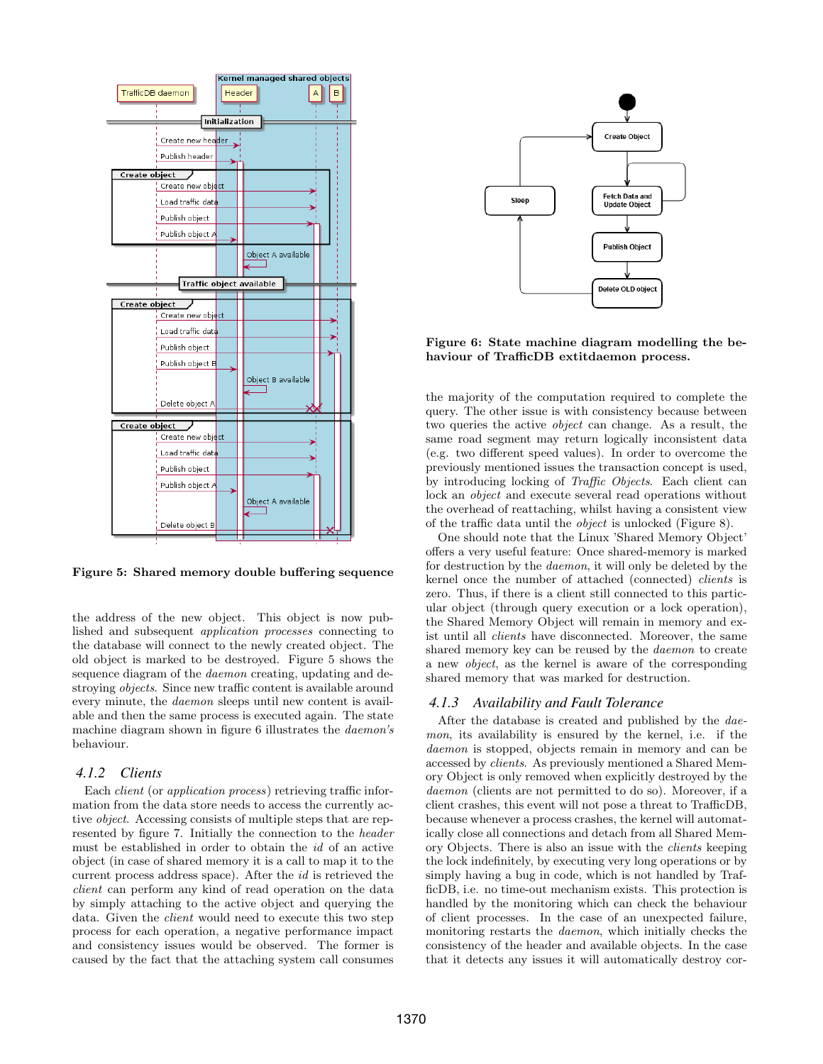

Figure 5: Shared memory double buffering sequence

the address of the new object. This object is now published and subsequent application processes connecting to the database will connect to the newly created object. The old object is marked to be destroyed. Figure 5 shows the sequence diagram of the *daemon* creating, updating and destroying objects. Since new traffic content is available around every minute, the daemon sleeps until new content is available and then the same process is executed again. The state machine diagram shown in figure 6 illustrates the daemon's behaviour.

#### *4.1.2 Clients*

Each *client* (or *application process*) retrieving traffic information from the data store needs to access the currently active object. Accessing consists of multiple steps that are represented by figure 7. Initially the connection to the header must be established in order to obtain the id of an active object (in case of shared memory it is a call to map it to the current process address space). After the id is retrieved the client can perform any kind of read operation on the data by simply attaching to the active object and querying the data. Given the *client* would need to execute this two step process for each operation, a negative performance impact and consistency issues would be observed. The former is caused by the fact that the attaching system call consumes



Figure 6: State machine diagram modelling the behaviour of TrafficDB extitdaemon process.

the majority of the computation required to complete the query. The other issue is with consistency because between two queries the active object can change. As a result, the same road segment may return logically inconsistent data (e.g. two different speed values). In order to overcome the previously mentioned issues the transaction concept is used, by introducing locking of Traffic Objects. Each client can lock an object and execute several read operations without the overhead of reattaching, whilst having a consistent view of the traffic data until the object is unlocked (Figure 8).

One should note that the Linux 'Shared Memory Object' offers a very useful feature: Once shared-memory is marked for destruction by the daemon, it will only be deleted by the kernel once the number of attached (connected) clients is zero. Thus, if there is a client still connected to this particular object (through query execution or a lock operation), the Shared Memory Object will remain in memory and exist until all clients have disconnected. Moreover, the same shared memory key can be reused by the daemon to create a new object, as the kernel is aware of the corresponding shared memory that was marked for destruction.

## *4.1.3 Availability and Fault Tolerance*

After the database is created and published by the daemon, its availability is ensured by the kernel, i.e. if the daemon is stopped, objects remain in memory and can be accessed by clients. As previously mentioned a Shared Memory Object is only removed when explicitly destroyed by the daemon (clients are not permitted to do so). Moreover, if a client crashes, this event will not pose a threat to TrafficDB, because whenever a process crashes, the kernel will automatically close all connections and detach from all Shared Memory Objects. There is also an issue with the clients keeping the lock indefinitely, by executing very long operations or by simply having a bug in code, which is not handled by TrafficDB, i.e. no time-out mechanism exists. This protection is handled by the monitoring which can check the behaviour of client processes. In the case of an unexpected failure, monitoring restarts the daemon, which initially checks the consistency of the header and available objects. In the case that it detects any issues it will automatically destroy cor-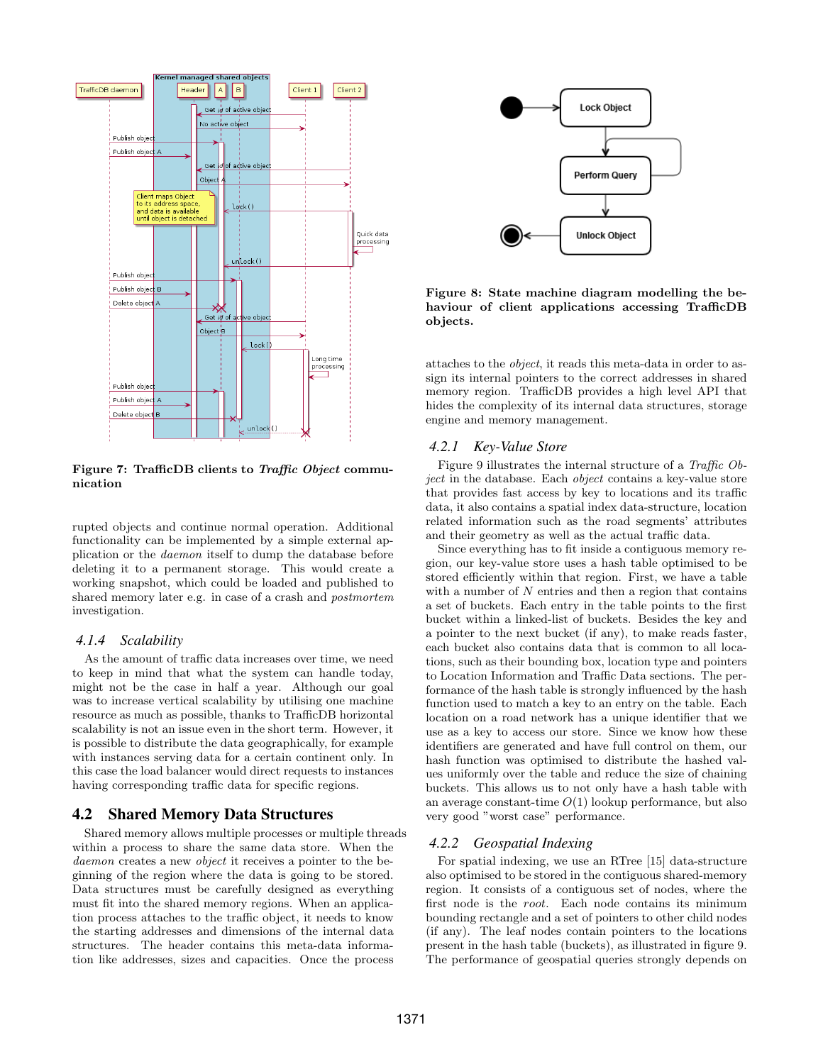

Figure 7: TrafficDB clients to Traffic Object communication

rupted objects and continue normal operation. Additional functionality can be implemented by a simple external application or the daemon itself to dump the database before deleting it to a permanent storage. This would create a working snapshot, which could be loaded and published to shared memory later e.g. in case of a crash and postmortem investigation.

#### *4.1.4 Scalability*

As the amount of traffic data increases over time, we need to keep in mind that what the system can handle today, might not be the case in half a year. Although our goal was to increase vertical scalability by utilising one machine resource as much as possible, thanks to TrafficDB horizontal scalability is not an issue even in the short term. However, it is possible to distribute the data geographically, for example with instances serving data for a certain continent only. In this case the load balancer would direct requests to instances having corresponding traffic data for specific regions.

## 4.2 Shared Memory Data Structures

Shared memory allows multiple processes or multiple threads within a process to share the same data store. When the daemon creates a new *object* it receives a pointer to the beginning of the region where the data is going to be stored. Data structures must be carefully designed as everything must fit into the shared memory regions. When an application process attaches to the traffic object, it needs to know the starting addresses and dimensions of the internal data structures. The header contains this meta-data information like addresses, sizes and capacities. Once the process



Figure 8: State machine diagram modelling the behaviour of client applications accessing TrafficDB objects.

attaches to the object, it reads this meta-data in order to assign its internal pointers to the correct addresses in shared memory region. TrafficDB provides a high level API that hides the complexity of its internal data structures, storage engine and memory management.

### *4.2.1 Key-Value Store*

Figure 9 illustrates the internal structure of a Traffic Object in the database. Each object contains a key-value store that provides fast access by key to locations and its traffic data, it also contains a spatial index data-structure, location related information such as the road segments' attributes and their geometry as well as the actual traffic data.

Since everything has to fit inside a contiguous memory region, our key-value store uses a hash table optimised to be stored efficiently within that region. First, we have a table with a number of  $N$  entries and then a region that contains a set of buckets. Each entry in the table points to the first bucket within a linked-list of buckets. Besides the key and a pointer to the next bucket (if any), to make reads faster, each bucket also contains data that is common to all locations, such as their bounding box, location type and pointers to Location Information and Traffic Data sections. The performance of the hash table is strongly influenced by the hash function used to match a key to an entry on the table. Each location on a road network has a unique identifier that we use as a key to access our store. Since we know how these identifiers are generated and have full control on them, our hash function was optimised to distribute the hashed values uniformly over the table and reduce the size of chaining buckets. This allows us to not only have a hash table with an average constant-time  $O(1)$  lookup performance, but also very good "worst case" performance.

#### *4.2.2 Geospatial Indexing*

For spatial indexing, we use an RTree [15] data-structure also optimised to be stored in the contiguous shared-memory region. It consists of a contiguous set of nodes, where the first node is the root. Each node contains its minimum bounding rectangle and a set of pointers to other child nodes (if any). The leaf nodes contain pointers to the locations present in the hash table (buckets), as illustrated in figure 9. The performance of geospatial queries strongly depends on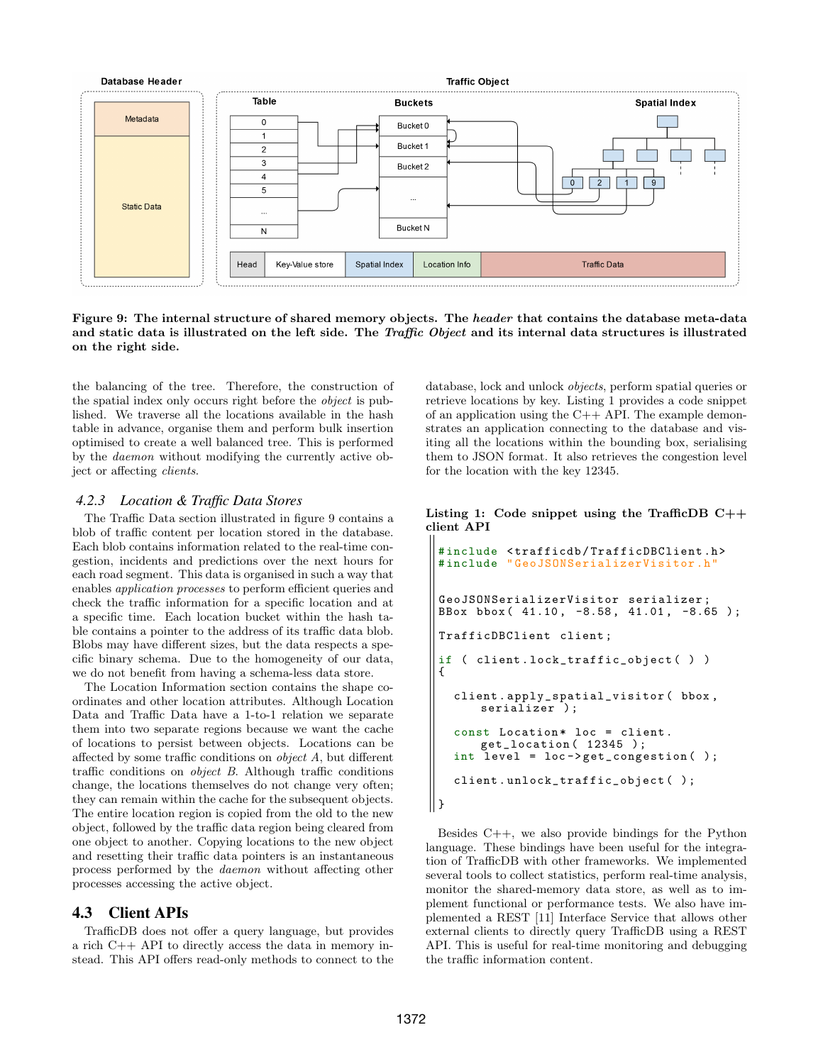

Figure 9: The internal structure of shared memory objects. The header that contains the database meta-data and static data is illustrated on the left side. The Traffic Object and its internal data structures is illustrated on the right side.

the balancing of the tree. Therefore, the construction of the spatial index only occurs right before the object is published. We traverse all the locations available in the hash table in advance, organise them and perform bulk insertion optimised to create a well balanced tree. This is performed by the daemon without modifying the currently active object or affecting clients.

#### *4.2.3 Location & Traffic Data Stores*

The Traffic Data section illustrated in figure 9 contains a blob of traffic content per location stored in the database. Each blob contains information related to the real-time congestion, incidents and predictions over the next hours for each road segment. This data is organised in such a way that enables application processes to perform efficient queries and check the traffic information for a specific location and at a specific time. Each location bucket within the hash table contains a pointer to the address of its traffic data blob. Blobs may have different sizes, but the data respects a specific binary schema. Due to the homogeneity of our data, we do not benefit from having a schema-less data store.

The Location Information section contains the shape coordinates and other location attributes. Although Location Data and Traffic Data have a 1-to-1 relation we separate them into two separate regions because we want the cache of locations to persist between objects. Locations can be affected by some traffic conditions on object A, but different traffic conditions on object B. Although traffic conditions change, the locations themselves do not change very often; they can remain within the cache for the subsequent objects. The entire location region is copied from the old to the new object, followed by the traffic data region being cleared from one object to another. Copying locations to the new object and resetting their traffic data pointers is an instantaneous process performed by the daemon without affecting other processes accessing the active object.

## 4.3 Client APIs

TrafficDB does not offer a query language, but provides a rich C++ API to directly access the data in memory instead. This API offers read-only methods to connect to the database, lock and unlock objects, perform spatial queries or retrieve locations by key. Listing 1 provides a code snippet of an application using the C++ API. The example demonstrates an application connecting to the database and visiting all the locations within the bounding box, serialising them to JSON format. It also retrieves the congestion level for the location with the key 12345.

Listing 1: Code snippet using the TrafficDB  $C++$ client API

```
# include < trafficdb / TrafficDBClient .h >
 # include " GeoJSONSerializerVisitor .h"
 GeoJSONSerializerVisitor serializer ;
 BBox bbox (41.10, -8.58, 41.01, -8.65);
 TrafficDBClient client ;
 if ( client . lock_traffic_object ( ) )
 {
   client . apply_spatial_visitor ( bbox ,
       serializer );
   const Location* loc = client.
       get_location ( 12345 ) ;
   int level = loc->get_congestion();
   client . unlock_traffic_object ( ) ;
|| }
```
Besides  $C_{++}$ , we also provide bindings for the Python language. These bindings have been useful for the integration of TrafficDB with other frameworks. We implemented several tools to collect statistics, perform real-time analysis, monitor the shared-memory data store, as well as to implement functional or performance tests. We also have implemented a REST [11] Interface Service that allows other external clients to directly query TrafficDB using a REST API. This is useful for real-time monitoring and debugging the traffic information content.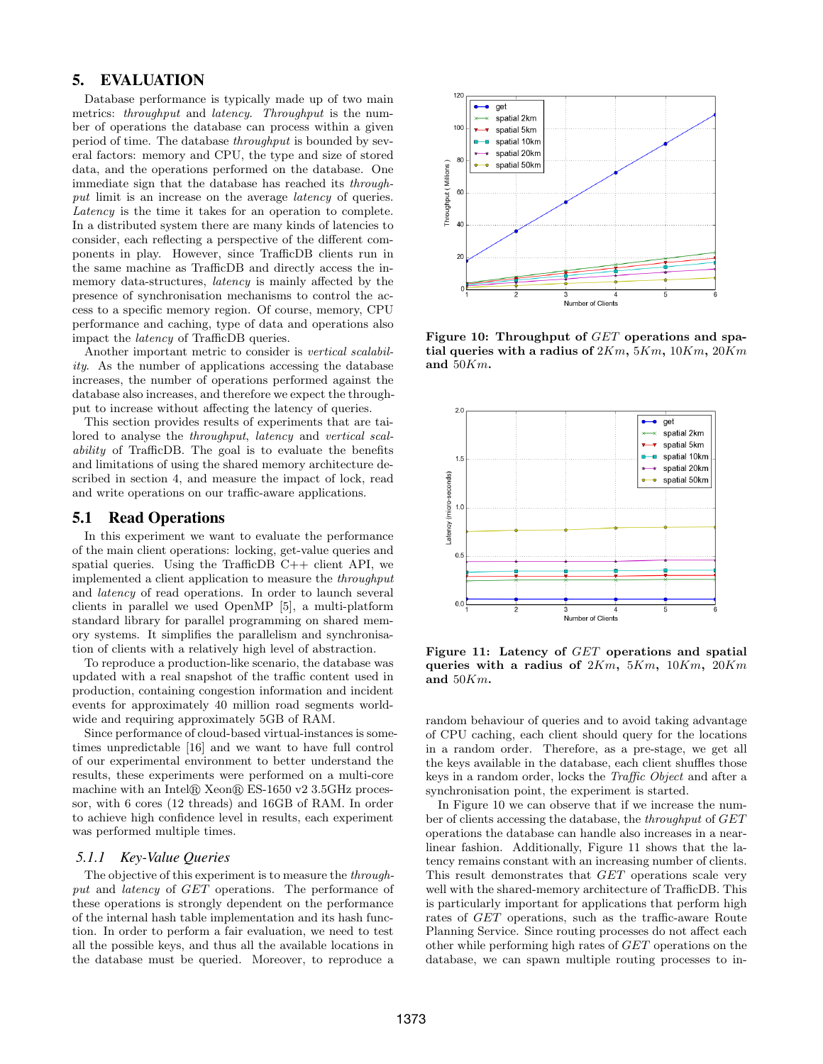# 5. EVALUATION

Database performance is typically made up of two main metrics: *throughput* and *latency*. *Throughput* is the number of operations the database can process within a given period of time. The database throughput is bounded by several factors: memory and CPU, the type and size of stored data, and the operations performed on the database. One immediate sign that the database has reached its throughput limit is an increase on the average *latency* of queries. Latency is the time it takes for an operation to complete. In a distributed system there are many kinds of latencies to consider, each reflecting a perspective of the different components in play. However, since TrafficDB clients run in the same machine as TrafficDB and directly access the inmemory data-structures, latency is mainly affected by the presence of synchronisation mechanisms to control the access to a specific memory region. Of course, memory, CPU performance and caching, type of data and operations also impact the latency of TrafficDB queries.

Another important metric to consider is vertical scalability. As the number of applications accessing the database increases, the number of operations performed against the database also increases, and therefore we expect the throughput to increase without affecting the latency of queries.

This section provides results of experiments that are tailored to analyse the throughput, latency and vertical scalability of TrafficDB. The goal is to evaluate the benefits and limitations of using the shared memory architecture described in section 4, and measure the impact of lock, read and write operations on our traffic-aware applications.

## 5.1 Read Operations

In this experiment we want to evaluate the performance of the main client operations: locking, get-value queries and spatial queries. Using the TrafficDB  $C++$  client API, we implemented a client application to measure the throughput and latency of read operations. In order to launch several clients in parallel we used OpenMP [5], a multi-platform standard library for parallel programming on shared memory systems. It simplifies the parallelism and synchronisation of clients with a relatively high level of abstraction.

To reproduce a production-like scenario, the database was updated with a real snapshot of the traffic content used in production, containing congestion information and incident events for approximately 40 million road segments worldwide and requiring approximately 5GB of RAM.

Since performance of cloud-based virtual-instances is sometimes unpredictable [16] and we want to have full control of our experimental environment to better understand the results, these experiments were performed on a multi-core machine with an Intel $\circledR$  Xeon $\circledR$  ES-1650 v2 3.5GHz processor, with 6 cores (12 threads) and 16GB of RAM. In order to achieve high confidence level in results, each experiment was performed multiple times.

#### *5.1.1 Key-Value Queries*

The objective of this experiment is to measure the throughput and latency of GET operations. The performance of these operations is strongly dependent on the performance of the internal hash table implementation and its hash function. In order to perform a fair evaluation, we need to test all the possible keys, and thus all the available locations in the database must be queried. Moreover, to reproduce a



Figure 10: Throughput of GET operations and spatial queries with a radius of  $2Km$ ,  $5Km$ ,  $10Km$ ,  $20Km$ and  $50Km$ .



Figure 11: Latency of GET operations and spatial queries with a radius of  $2Km$ ,  $5Km$ ,  $10Km$ ,  $20Km$ and  $50Km$ .

random behaviour of queries and to avoid taking advantage of CPU caching, each client should query for the locations in a random order. Therefore, as a pre-stage, we get all the keys available in the database, each client shuffles those keys in a random order, locks the Traffic Object and after a synchronisation point, the experiment is started.

In Figure 10 we can observe that if we increase the number of clients accessing the database, the throughput of GET operations the database can handle also increases in a nearlinear fashion. Additionally, Figure 11 shows that the latency remains constant with an increasing number of clients. This result demonstrates that GET operations scale very well with the shared-memory architecture of TrafficDB. This is particularly important for applications that perform high rates of GET operations, such as the traffic-aware Route Planning Service. Since routing processes do not affect each other while performing high rates of GET operations on the database, we can spawn multiple routing processes to in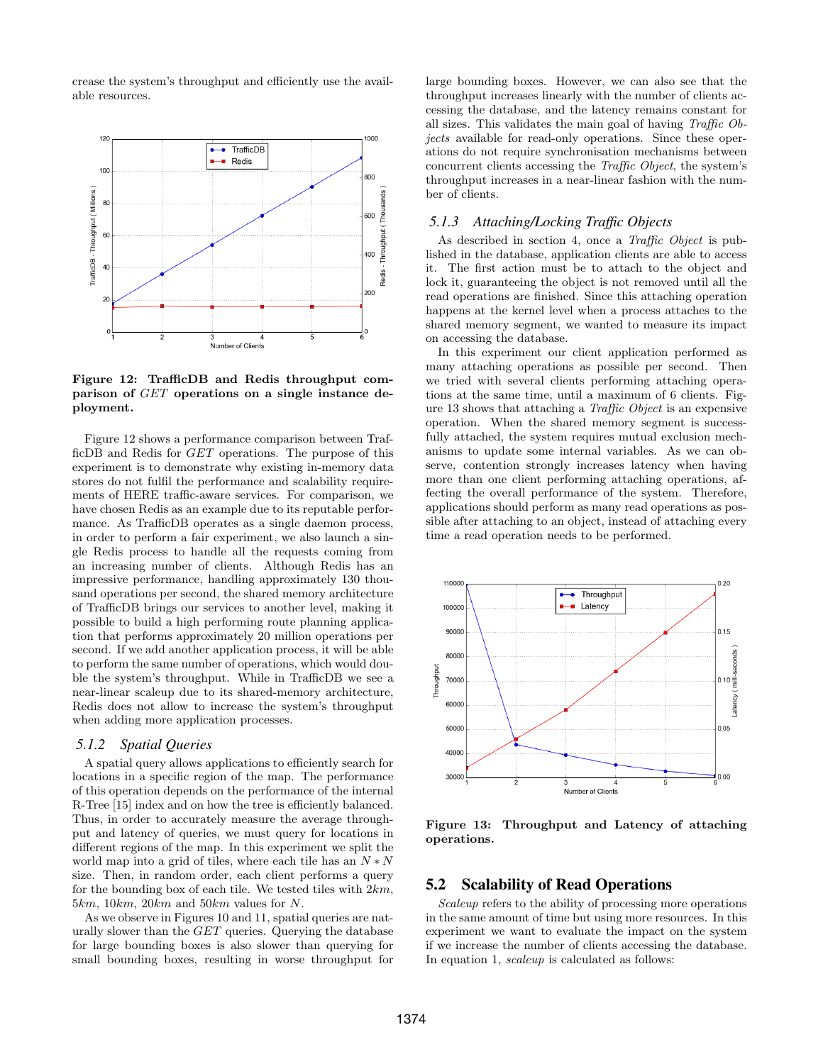crease the system's throughput and efficiently use the available resources.



Figure 12: TrafficDB and Redis throughput comparison of GET operations on a single instance deployment.

Figure 12 shows a performance comparison between TrafficDB and Redis for GET operations. The purpose of this experiment is to demonstrate why existing in-memory data stores do not fulfil the performance and scalability requirements of HERE traffic-aware services. For comparison, we have chosen Redis as an example due to its reputable performance. As TrafficDB operates as a single daemon process, in order to perform a fair experiment, we also launch a single Redis process to handle all the requests coming from an increasing number of clients. Although Redis has an impressive performance, handling approximately 130 thousand operations per second, the shared memory architecture of TrafficDB brings our services to another level, making it possible to build a high performing route planning application that performs approximately 20 million operations per second. If we add another application process, it will be able to perform the same number of operations, which would double the system's throughput. While in TrafficDB we see a near-linear scaleup due to its shared-memory architecture, Redis does not allow to increase the system's throughput when adding more application processes.

## *5.1.2 Spatial Queries*

A spatial query allows applications to efficiently search for locations in a specific region of the map. The performance of this operation depends on the performance of the internal R-Tree [15] index and on how the tree is efficiently balanced. Thus, in order to accurately measure the average throughput and latency of queries, we must query for locations in different regions of the map. In this experiment we split the world map into a grid of tiles, where each tile has an  $N*N$ size. Then, in random order, each client performs a query for the bounding box of each tile. We tested tiles with  $2km$ ,  $5km$ ,  $10km$ ,  $20km$  and  $50km$  values for N.

As we observe in Figures 10 and 11, spatial queries are naturally slower than the GET queries. Querying the database for large bounding boxes is also slower than querying for small bounding boxes, resulting in worse throughput for large bounding boxes. However, we can also see that the throughput increases linearly with the number of clients accessing the database, and the latency remains constant for all sizes. This validates the main goal of having Traffic Objects available for read-only operations. Since these operations do not require synchronisation mechanisms between concurrent clients accessing the Traffic Object, the system's throughput increases in a near-linear fashion with the number of clients.

# *5.1.3 Attaching/Locking Traffic Objects*

As described in section 4, once a Traffic Object is published in the database, application clients are able to access it. The first action must be to attach to the object and lock it, guaranteeing the object is not removed until all the read operations are finished. Since this attaching operation happens at the kernel level when a process attaches to the shared memory segment, we wanted to measure its impact on accessing the database.

In this experiment our client application performed as many attaching operations as possible per second. Then we tried with several clients performing attaching operations at the same time, until a maximum of 6 clients. Figure 13 shows that attaching a Traffic Object is an expensive operation. When the shared memory segment is successfully attached, the system requires mutual exclusion mechanisms to update some internal variables. As we can observe, contention strongly increases latency when having more than one client performing attaching operations, affecting the overall performance of the system. Therefore, applications should perform as many read operations as possible after attaching to an object, instead of attaching every time a read operation needs to be performed.



Figure 13: Throughput and Latency of attaching operations.

# 5.2 Scalability of Read Operations

Scaleup refers to the ability of processing more operations in the same amount of time but using more resources. In this experiment we want to evaluate the impact on the system if we increase the number of clients accessing the database. In equation 1, scaleup is calculated as follows: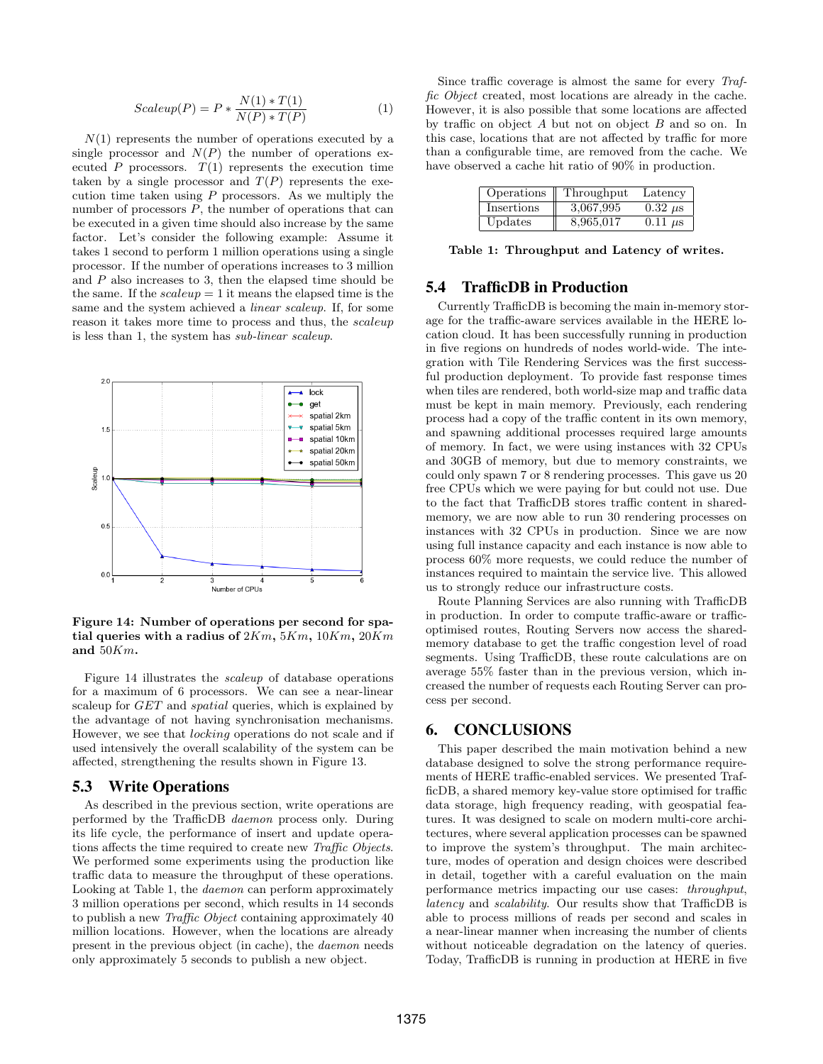$$
Scaleup(P) = P * \frac{N(1) * T(1)}{N(P) * T(P)}
$$
\n<sup>(1)</sup>

 $N(1)$  represents the number of operations executed by a single processor and  $N(P)$  the number of operations executed P processors.  $T(1)$  represents the execution time taken by a single processor and  $T(P)$  represents the execution time taken using  $P$  processors. As we multiply the number of processors  $P$ , the number of operations that can be executed in a given time should also increase by the same factor. Let's consider the following example: Assume it takes 1 second to perform 1 million operations using a single processor. If the number of operations increases to 3 million and  $P$  also increases to 3, then the elapsed time should be the same. If the  $scaleup = 1$  it means the elapsed time is the same and the system achieved a linear scaleup. If, for some reason it takes more time to process and thus, the scaleup is less than 1, the system has sub-linear scaleup.



Figure 14: Number of operations per second for spatial queries with a radius of  $2Km$ ,  $5Km$ ,  $10Km$ ,  $20Km$ and 50Km.

Figure 14 illustrates the scaleup of database operations for a maximum of 6 processors. We can see a near-linear scaleup for GET and spatial queries, which is explained by the advantage of not having synchronisation mechanisms. However, we see that locking operations do not scale and if used intensively the overall scalability of the system can be affected, strengthening the results shown in Figure 13.

#### 5.3 Write Operations

As described in the previous section, write operations are performed by the TrafficDB daemon process only. During its life cycle, the performance of insert and update operations affects the time required to create new Traffic Objects. We performed some experiments using the production like traffic data to measure the throughput of these operations. Looking at Table 1, the daemon can perform approximately 3 million operations per second, which results in 14 seconds to publish a new Traffic Object containing approximately 40 million locations. However, when the locations are already present in the previous object (in cache), the daemon needs only approximately 5 seconds to publish a new object.

Since traffic coverage is almost the same for every Traffic Object created, most locations are already in the cache. However, it is also possible that some locations are affected by traffic on object A but not on object B and so on. In this case, locations that are not affected by traffic for more than a configurable time, are removed from the cache. We have observed a cache hit ratio of 90% in production.

| Operations        | Throughput | Latency        |
|-------------------|------------|----------------|
| <i>Insertions</i> | 3,067,995  | $0.32 \ \mu s$ |
| Updates           | 8,965,017  | $0.11 \mu s$   |

Table 1: Throughput and Latency of writes.

# 5.4 TrafficDB in Production

Currently TrafficDB is becoming the main in-memory storage for the traffic-aware services available in the HERE location cloud. It has been successfully running in production in five regions on hundreds of nodes world-wide. The integration with Tile Rendering Services was the first successful production deployment. To provide fast response times when tiles are rendered, both world-size map and traffic data must be kept in main memory. Previously, each rendering process had a copy of the traffic content in its own memory, and spawning additional processes required large amounts of memory. In fact, we were using instances with 32 CPUs and 30GB of memory, but due to memory constraints, we could only spawn 7 or 8 rendering processes. This gave us 20 free CPUs which we were paying for but could not use. Due to the fact that TrafficDB stores traffic content in sharedmemory, we are now able to run 30 rendering processes on instances with 32 CPUs in production. Since we are now using full instance capacity and each instance is now able to process 60% more requests, we could reduce the number of instances required to maintain the service live. This allowed us to strongly reduce our infrastructure costs.

Route Planning Services are also running with TrafficDB in production. In order to compute traffic-aware or trafficoptimised routes, Routing Servers now access the sharedmemory database to get the traffic congestion level of road segments. Using TrafficDB, these route calculations are on average 55% faster than in the previous version, which increased the number of requests each Routing Server can process per second.

# 6. CONCLUSIONS

This paper described the main motivation behind a new database designed to solve the strong performance requirements of HERE traffic-enabled services. We presented TrafficDB, a shared memory key-value store optimised for traffic data storage, high frequency reading, with geospatial features. It was designed to scale on modern multi-core architectures, where several application processes can be spawned to improve the system's throughput. The main architecture, modes of operation and design choices were described in detail, together with a careful evaluation on the main performance metrics impacting our use cases: throughput, latency and scalability. Our results show that TrafficDB is able to process millions of reads per second and scales in a near-linear manner when increasing the number of clients without noticeable degradation on the latency of queries. Today, TrafficDB is running in production at HERE in five